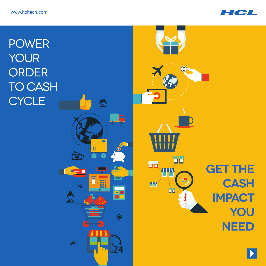

**POWER** your  $\circledast$ **ORDER TO CASH CYCLE**  $\overline{Q}$  $\blacksquare$ **TH TH GET THE SET TIIT** I 48 **cash AIN AB**  $+$   $*$ **impact**  $\bigodot$ a e **you** 商 **need**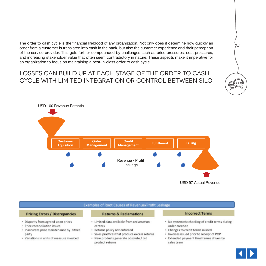The order to cash cycle is the financial lifeblood of any organization. Not only does it determine how quickly an order from a customer is translated into cash in the bank, but also the customer experience and their perception of the service provider. This gets further compounded by challenges such as price pressures, cost pressures, and increasing stakeholder value that often seem contradictory in nature. These aspects make it imperative for an organization to focus on maintaining a best-in-class order to cash cycle.

## Losses can build up at each stage of the order to cash cycle with limited integration or control between silo



### **Examples of Root Causes of Revenue/Profit Leakage**

### **Pricing Errors / Discrepancies**

- · Disparity from agreed upon prices
- · Price reconciliation issues
- · Inaccurate price maintenance by either party
- Variations in units of measure invoiced

#### **Returns & Reclamations**

- · Limited data available from reclamation centers
- · Returns policy not enforced
- · Sales practices that produce excess returns
- · New products generate obsolete / old product returns

### **Incorrect Terms**

- No systematic checking of credit terms during order creation
- Changes to credit terms missed
- · Invoices issued prior to receipt of POP
- · Extended payment timeframes driven by sales team



do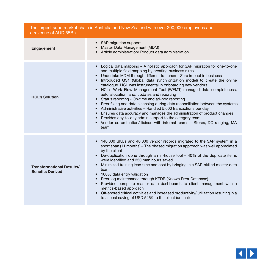| The largest supermarket chain in Australia and New Zealand with over 200,000 employees and<br>a revenue of AUD 55Bn |                                                                                                                                                                                                                                                                                                                                                                                                                                                                                                                                                                                                                                                                                                                                                                                                                                                                                                                                                                                           |  |  |  |  |
|---------------------------------------------------------------------------------------------------------------------|-------------------------------------------------------------------------------------------------------------------------------------------------------------------------------------------------------------------------------------------------------------------------------------------------------------------------------------------------------------------------------------------------------------------------------------------------------------------------------------------------------------------------------------------------------------------------------------------------------------------------------------------------------------------------------------------------------------------------------------------------------------------------------------------------------------------------------------------------------------------------------------------------------------------------------------------------------------------------------------------|--|--|--|--|
| <b>Engagement</b>                                                                                                   | • SAP migration support<br>Master Data Management (MDM)<br>Article administration/ Product data administration                                                                                                                                                                                                                                                                                                                                                                                                                                                                                                                                                                                                                                                                                                                                                                                                                                                                            |  |  |  |  |
| <b>HCL's Solution</b>                                                                                               | Logical data mapping - A holistic approach for SAP migration for one-to-one<br>$\bullet$<br>and multiple field mapping by creating business rules<br>Undertake MDM through different tranches - Zero impact in business<br>Introduced GS1 (Global data synchronization model) to create the online<br>catalogue. HCL was instrumental in onboarding new vendors.<br>HCL's Work Flow Management Tool (WFMT) managed data completeness,<br>$\bullet$<br>auto allocation, and, updates and reporting<br>Status reporting - On-time and ad-hoc reporting<br>$\bullet$<br>Error fixing and data cleansing during data reconciliation between the systems<br>$\bullet$<br>Administrative activities - Handled 5,000 transactions per day<br>$\bullet$<br>Ensures data accuracy and manages the administration of product changes<br>$\bullet$<br>Provides day-to-day admin support to the category team<br>• Vendor co-ordination/ liaison with internal teams - Stores, DC ranging, MA<br>team |  |  |  |  |
| <b>Transformational Results/</b><br><b>Benefits Derived</b>                                                         | 140,000 SKUs and 40,000 vendor records migrated to the SAP system in a<br>$\bullet$<br>short span (11 months) - The phased migration approach was well appreciated<br>by the client<br>De-duplication done through an in-house tool $-40\%$ of the duplicate items<br>$\bullet$<br>were identified and 350 man hours saved<br>Minimized training lead time and cost by bringing in a SAP-skilled master data<br>$\bullet$<br>team<br>100% data entry validation<br>$\bullet$<br>Error log maintenance through KEDB (Known Error Database)<br>Provided complete master data dashboards to client management with a<br>$\bullet$<br>metrics-based approach<br>Off-shored critical activities and increased productivity/ utilization resulting in a<br>$\bullet$<br>total cost saving of USD 546K to the client (annual)                                                                                                                                                                    |  |  |  |  |

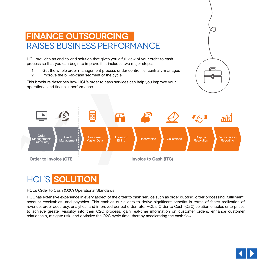

## **Finance Outsourcing**  Raises Business Performance

HCL provides an end-to-end solution that gives you a full view of your order to cash process so that you can begin to improve it. It includes two major steps:

- 1. Get the whole order management process under control i.e. centrally-managed
- 2. Improve the bill-to-cash segment of the cycle

This brochure describes how HCL's order to cash services can help you improve your operational and financial performance.



# HCL's **Solution**

HCL's Order to Cash (O2C) Operational Standards

HCL has extensive experience in every aspect of the order to cash service such as order quoting, order processing, fulfillment, account receivables, and payables. This enables our clients to derive significant benefits in terms of faster realization of revenue, order accuracy, analytics, and improved perfect order rate. HCL's Order to Cash (O2C) solution enables enterprises to achieve greater visibility into their O2C process, gain real-time information on customer orders, enhance customer relationship, mitigate risk, and optimize the O2C cycle time, thereby accelerating the cash flow.

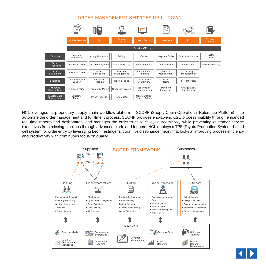### ORDER MANAGEMENT SERVICES DRILL DOWN

|                               | (SMS)<br>医耳              | <b>III</b>             |                         |                               | ゠゠<br>$\equiv$        | (5.31                       | Ξ                    |
|-------------------------------|--------------------------|------------------------|-------------------------|-------------------------------|-----------------------|-----------------------------|----------------------|
|                               | <b>Mobile Devices</b>    | Fax                    | Contact<br>Center       | <b>Web Portal</b>             | Catalogue             | EDI                         | Contract<br>Orders   |
|                               |                          |                        |                         | <b>Service Offerings</b>      |                       |                             |                      |
| Quoting                       | Customer<br>Verification | <b>Apply Discounts</b> | Pricing                 | Quote                         | Capture Order         | <b>Credit Validation</b>    | <b>INCO</b><br>Terms |
| Order<br>Processing           | Receive Order            | Acknowledge PO         | Validate Pricing        | Validate Quote                | Validate PO           | <b>Lead Time</b>            | Validate Delivery    |
| Order<br><b>Fulfillment</b>   | Process Order            | Order<br>Scheduling    | Interface<br>Management | Pick & Pack<br>Planning       | Returns<br>Management | Warranty<br>Management      |                      |
| Logistics                     | Documentation<br>Support | Shipment<br>Tracking   | Track & Trace           | Obtain Proof<br>Of Delivery   | <b>INCO</b><br>Terms  | Freight Audit               |                      |
| Account<br><b>Receivables</b> | Raise Invoice            | Three-way Match        | Dispatch Invoice        | Receivables<br>Reconciliation | Payment<br>Follow-up  | Charge Back<br>Verification |                      |
| Master Data<br>Management     | Customer<br>Master       | Price Records          | Item Master             | Configuration<br>System Admin |                       |                             |                      |

HCL leverages its proprietary supply chain workflow platform – SCORP (Supply Chain Operational Reference Platform) – to automate the order management and fulfillment process. SCORP provides end-to-end O2C process visibility through enhanced real-time reports and dashboards, and manages the order-to-ship life cycle seamlessly while preventing customer service executives from missing timelines through advanced alerts and triggers. HCL deploys a TPS (Toyota Production System)-based cell system for order entry by leveraging Leon Festinger's cognitive dissonance theory that looks at improving process efficiency and productivity with continuous focus on quality.



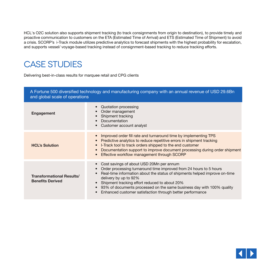HCL's O2C solution also supports shipment tracking (to track consignments from origin to destination), to provide timely and proactive communication to customers on the ETA (Estimated Time of Arrival) and ETS (Estimated Time of Shipment) to avoid a crisis. SCORP's i-Track module utilizes predictive analytics to forecast shipments with the highest probability for escalation, and supports vessel/ voyage-based tracking instead of consignment-based tracking to reduce tracking efforts.

# Case Studies

Delivering best-in-class results for marquee retail and CPG clients

| A Fortune 500 diversified technology and manufacturing company with an annual revenue of USD 29.6Bn<br>and global scale of operations |                                                                                                                                                                                                                                                                                                                                                                                                                                        |  |  |  |  |
|---------------------------------------------------------------------------------------------------------------------------------------|----------------------------------------------------------------------------------------------------------------------------------------------------------------------------------------------------------------------------------------------------------------------------------------------------------------------------------------------------------------------------------------------------------------------------------------|--|--|--|--|
| Engagement                                                                                                                            | Quotation processing<br>Order management<br>Shipment tracking<br>Documentation<br>Customer account analyst<br>$\bullet$                                                                                                                                                                                                                                                                                                                |  |  |  |  |
| <b>HCL's Solution</b>                                                                                                                 | Improved order fill rate and turnaround time by implementing TPS<br>Predictive analytics to reduce repetitive errors in shipment tracking<br>$\bullet$<br>I-Track tool to track orders shipped to the end customer<br>Documentation support to improve document processing during order shipment<br>Effective workflow management through SCORP<br>$\bullet$                                                                           |  |  |  |  |
| <b>Transformational Results/</b><br><b>Benefits Derived</b>                                                                           | Cost savings of about USD 20Mn per annum<br>Order processing turnaround time improved from 24 hours to 5 hours<br>$\bullet$<br>Real-time information about the status of shipments helped improve on-time<br>delivery by up to 92%<br>Shipment tracking effort reduced to about 20%<br>93% of documents processed on the same business day with 100% quality<br>Enhanced customer satisfaction through better performance<br>$\bullet$ |  |  |  |  |

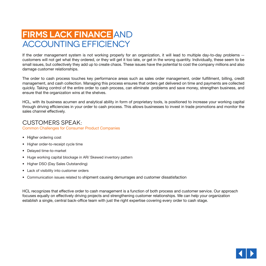## **Firms lack finance** and accounting efficiency

If the order management system is not working properly for an organization, it will lead to multiple day-to-day problems - customers will not get what they ordered, or they will get it too late, or get in the wrong quantity. Individually, these seem to be small issues, but collectively they add up to create chaos. These issues have the potential to cost the company millions and also damage customer relationships.

The order to cash process touches key performance areas such as sales order management, order fulfillment, billing, credit management, and cash collection. Managing this process ensures that orders get delivered on time and payments are collected quickly. Taking control of the entire order to cash process, can eliminate problems and save money, strengthen business, and ensure that the organization wins at the shelves.

HCL, with its business acumen and analytical ability in form of proprietary tools, is positioned to increase your working capital through driving efficiencies in your order to cash process. This allows businesses to invest in trade promotions and monitor the sales channel effectively.

### Customers Speak:

Common Challenges for Consumer Product Companies

- Higher ordering cost
- Higher order-to-receipt cycle time
- Delayed time-to-market
- Huge working capital blockage in AR/ Skewed inventory pattern
- Higher DSO (Day Sales Outstanding)
- Lack of visibility into customer orders
- Communication issues related to shipment causing demurrages and customer dissatisfaction

HCL recognizes that effective order to cash management is a function of both process and customer service. Our approach focuses equally on effectively driving projects and strengthening customer relationships. We can help your organization establish a single, central back-office team with just the right expertise covering every order to cash stage.